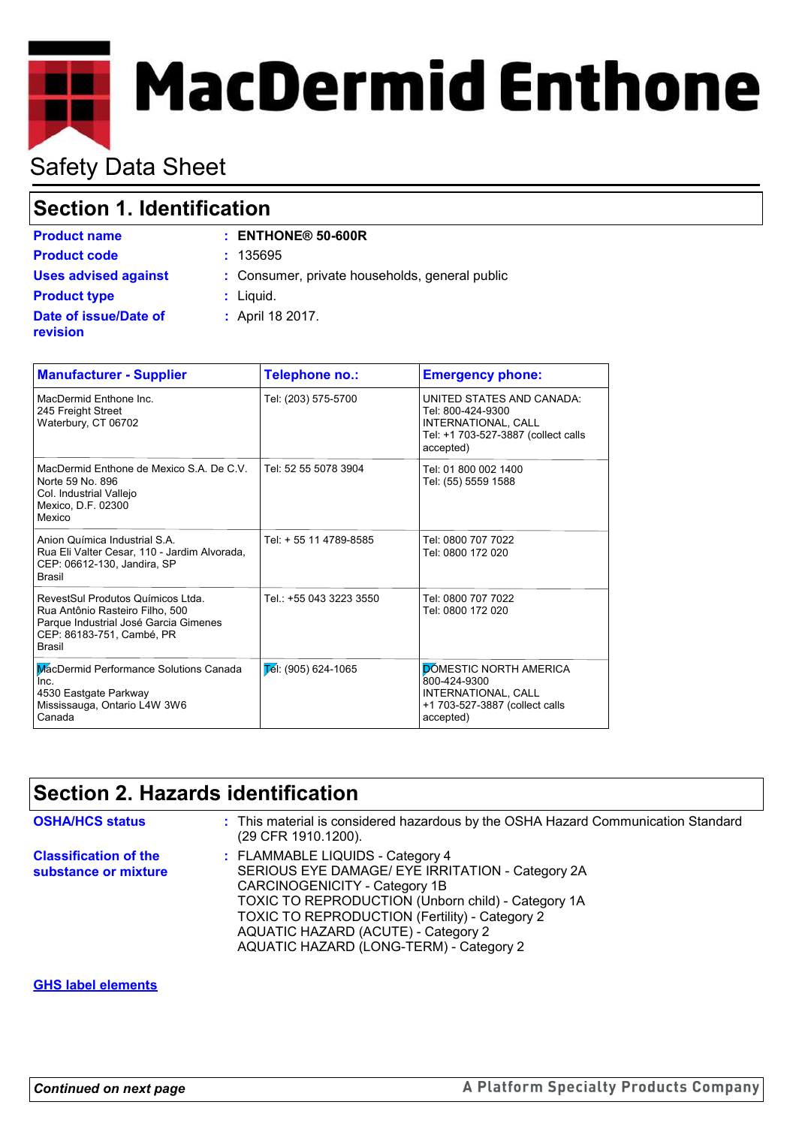# **MacDermid Enthone**

# Safety Data Sheet

## **Section 1. Identification**

**Product name : ENTHONE® 50-600R** 

| <b>Product name</b>         |  |
|-----------------------------|--|
| <b>Product code</b>         |  |
| <b>Uses advised against</b> |  |
| <b>Product type</b>         |  |
| Date of issue/Date of       |  |
| revision                    |  |

**:** Consumer, private households, general public

**:** Liquid. **:** April 18 2017.

**Product code :** 135695

| <b>Manufacturer - Supplier</b>                                                                                                                              | Telephone no.:                    | <b>Emergency phone:</b>                                                                                                   |
|-------------------------------------------------------------------------------------------------------------------------------------------------------------|-----------------------------------|---------------------------------------------------------------------------------------------------------------------------|
| MacDermid Enthone Inc.<br>245 Freight Street<br>Waterbury, CT 06702                                                                                         | Tel: (203) 575-5700               | UNITED STATES AND CANADA:<br>Tel: 800-424-9300<br>INTERNATIONAL, CALL<br>Tel: +1 703-527-3887 (collect calls<br>accepted) |
| MacDermid Enthone de Mexico S A De C V<br>Norte 59 No. 896<br>Col. Industrial Vallejo<br>Mexico, D.F. 02300<br>Mexico                                       | Tel: 52 55 5078 3904              | Tel: 01 800 002 1400<br>Tel: (55) 5559 1588                                                                               |
| Anion Química Industrial S.A.<br>Rua Eli Valter Cesar, 110 - Jardim Alvorada,<br>CEP: 06612-130, Jandira, SP<br>Brasil                                      | Tel: + 55 11 4789-8585            | Tel: 0800 707 7022<br>Tel: 0800 172 020                                                                                   |
| RevestSul Produtos Químicos Ltda.<br>Rua Antônio Rasteiro Filho, 500<br>Parque Industrial José Garcia Gimenes<br>CEP: 86183-751, Cambé, PR<br><b>Brasil</b> | Tel.: +55 043 3223 3550           | Tel: 0800 707 7022<br>Tel: 0800 172 020                                                                                   |
| MacDermid Performance Solutions Canada<br>Inc.<br>4530 Eastgate Parkway<br>Mississauga, Ontario L4W 3W6<br>Canada                                           | $\overline{E}$ el: (905) 624-1065 | <b>DÓMESTIC NORTH AMERICA</b><br>800-424-9300<br>INTERNATIONAL, CALL<br>+1 703-527-3887 (collect calls<br>accepted)       |

## **Section 2. Hazards identification**

| <b>OSHA/HCS status</b>                               | : This material is considered hazardous by the OSHA Hazard Communication Standard<br>(29 CFR 1910.1200).                                                                                                                                                                                                               |
|------------------------------------------------------|------------------------------------------------------------------------------------------------------------------------------------------------------------------------------------------------------------------------------------------------------------------------------------------------------------------------|
| <b>Classification of the</b><br>substance or mixture | : FLAMMABLE LIQUIDS - Category 4<br>SERIOUS EYE DAMAGE/ EYE IRRITATION - Category 2A<br>CARCINOGENICITY - Category 1B<br><b>TOXIC TO REPRODUCTION (Unborn child) - Category 1A</b><br>TOXIC TO REPRODUCTION (Fertility) - Category 2<br>AQUATIC HAZARD (ACUTE) - Category 2<br>AQUATIC HAZARD (LONG-TERM) - Category 2 |

#### **GHS label elements**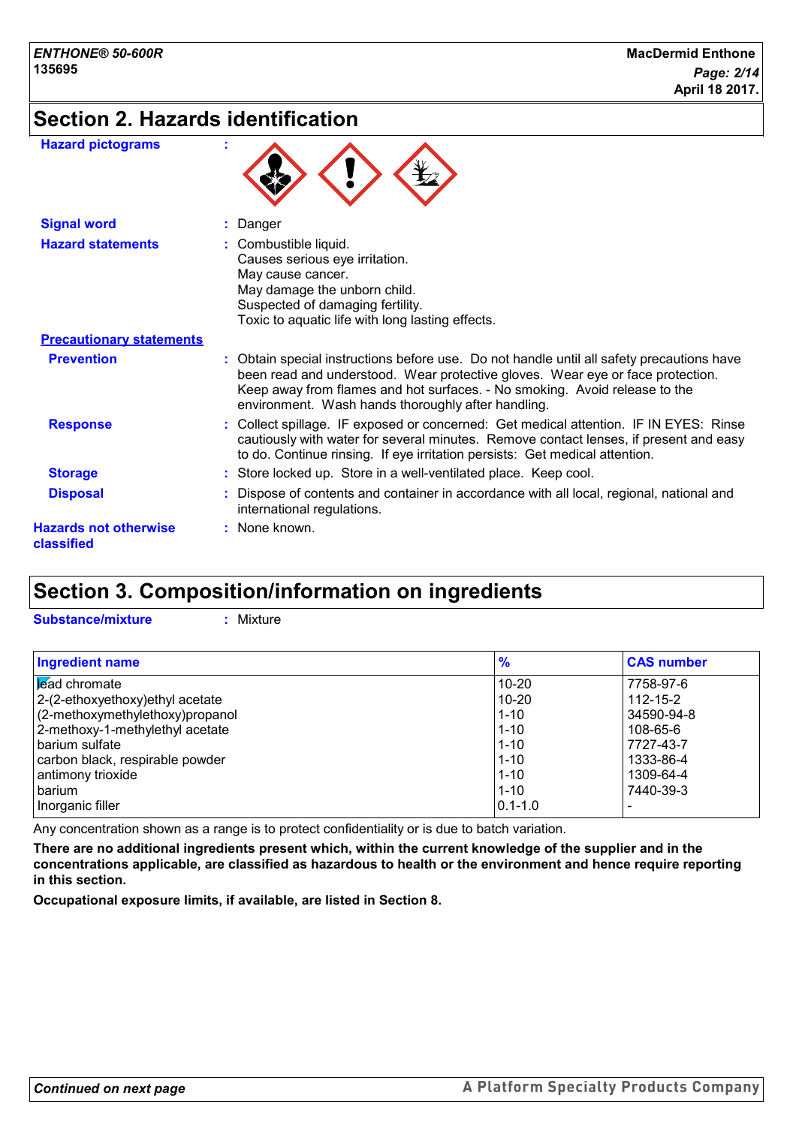## **Section 2. Hazards identification**

| <b>Hazard pictograms</b>                   |                                                                                                                                                                                                                                                                                                               |
|--------------------------------------------|---------------------------------------------------------------------------------------------------------------------------------------------------------------------------------------------------------------------------------------------------------------------------------------------------------------|
| <b>Signal word</b>                         | Danger<br>÷.                                                                                                                                                                                                                                                                                                  |
| <b>Hazard statements</b>                   | Combustible liquid.<br>Causes serious eye irritation.<br>May cause cancer.<br>May damage the unborn child.<br>Suspected of damaging fertility.<br>Toxic to aquatic life with long lasting effects.                                                                                                            |
| <b>Precautionary statements</b>            |                                                                                                                                                                                                                                                                                                               |
| <b>Prevention</b>                          | Obtain special instructions before use. Do not handle until all safety precautions have<br>been read and understood. Wear protective gloves. Wear eye or face protection.<br>Keep away from flames and hot surfaces. - No smoking. Avoid release to the<br>environment. Wash hands thoroughly after handling. |
| <b>Response</b>                            | : Collect spillage. IF exposed or concerned: Get medical attention. IF IN EYES: Rinse<br>cautiously with water for several minutes. Remove contact lenses, if present and easy<br>to do. Continue rinsing. If eye irritation persists: Get medical attention.                                                 |
| <b>Storage</b>                             | : Store locked up. Store in a well-ventilated place. Keep cool.                                                                                                                                                                                                                                               |
| <b>Disposal</b>                            | Dispose of contents and container in accordance with all local, regional, national and<br>international regulations.                                                                                                                                                                                          |
| <b>Hazards not otherwise</b><br>classified | : None known.                                                                                                                                                                                                                                                                                                 |

## **Section 3. Composition/information on ingredients**

**Substance/mixture :** Mixture

| <b>Ingredient name</b>           | $\frac{9}{6}$ | <b>CAS number</b> |
|----------------------------------|---------------|-------------------|
| <b>Lead chromate</b>             | $10 - 20$     | 7758-97-6         |
| 2-(2-ethoxyethoxy) ethyl acetate | 10-20         | $112 - 15 - 2$    |
| (2-methoxymethylethoxy) propanol | $1 - 10$      | 34590-94-8        |
| 2-methoxy-1-methylethyl acetate  | $1 - 10$      | 108-65-6          |
| I barium sulfate                 | $1 - 10$      | 7727-43-7         |
| carbon black, respirable powder  | $1 - 10$      | 1333-86-4         |
| antimony trioxide                | $1 - 10$      | 1309-64-4         |
| barium                           | $1 - 10$      | 7440-39-3         |
| Inorganic filler                 | $ 0.1 - 1.0 $ |                   |

Any concentration shown as a range is to protect confidentiality or is due to batch variation.

**There are no additional ingredients present which, within the current knowledge of the supplier and in the concentrations applicable, are classified as hazardous to health or the environment and hence require reporting in this section.**

**Occupational exposure limits, if available, are listed in Section 8.**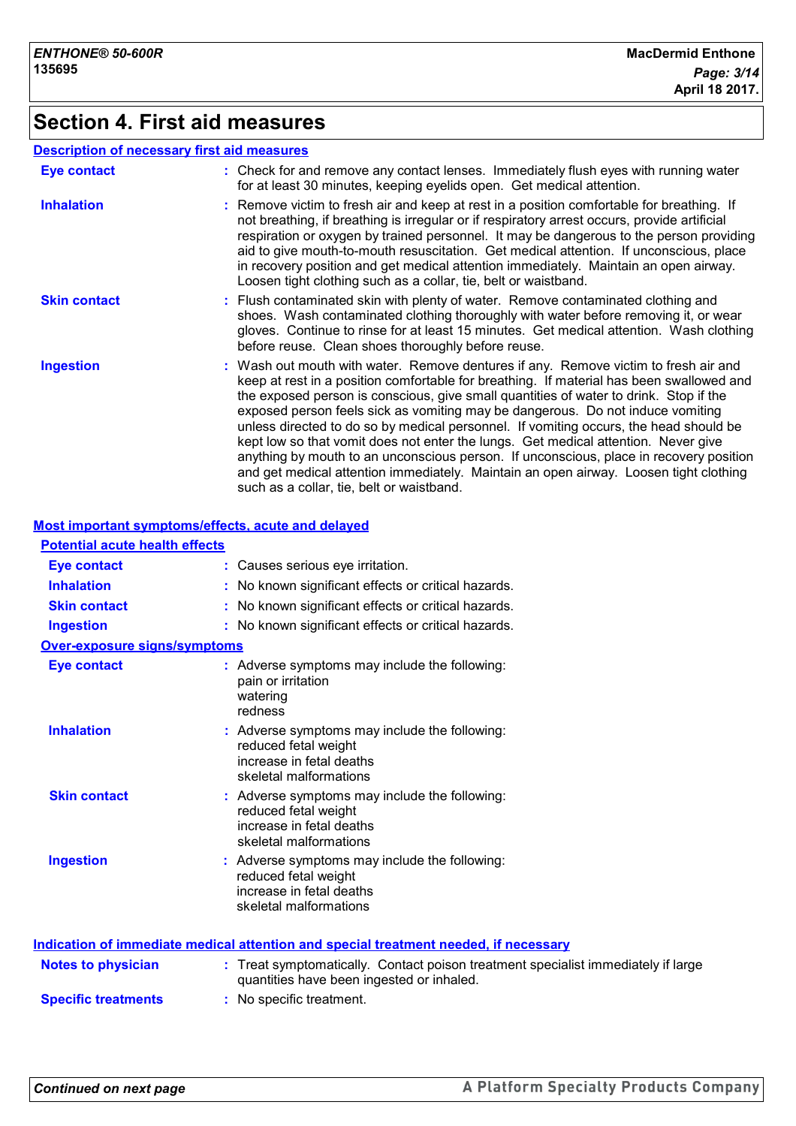## **Section 4. First aid measures**

#### **Description of necessary first aid measures**

| <b>Eye contact</b>  | : Check for and remove any contact lenses. Immediately flush eyes with running water<br>for at least 30 minutes, keeping eyelids open. Get medical attention.                                                                                                                                                                                                                                                                                                                                                                                                                                                                                                                                                                                                             |
|---------------------|---------------------------------------------------------------------------------------------------------------------------------------------------------------------------------------------------------------------------------------------------------------------------------------------------------------------------------------------------------------------------------------------------------------------------------------------------------------------------------------------------------------------------------------------------------------------------------------------------------------------------------------------------------------------------------------------------------------------------------------------------------------------------|
| <b>Inhalation</b>   | : Remove victim to fresh air and keep at rest in a position comfortable for breathing. If<br>not breathing, if breathing is irregular or if respiratory arrest occurs, provide artificial<br>respiration or oxygen by trained personnel. It may be dangerous to the person providing<br>aid to give mouth-to-mouth resuscitation. Get medical attention. If unconscious, place<br>in recovery position and get medical attention immediately. Maintain an open airway.<br>Loosen tight clothing such as a collar, tie, belt or waistband.                                                                                                                                                                                                                                 |
| <b>Skin contact</b> | : Flush contaminated skin with plenty of water. Remove contaminated clothing and<br>shoes. Wash contaminated clothing thoroughly with water before removing it, or wear<br>gloves. Continue to rinse for at least 15 minutes. Get medical attention. Wash clothing<br>before reuse. Clean shoes thoroughly before reuse.                                                                                                                                                                                                                                                                                                                                                                                                                                                  |
| <b>Ingestion</b>    | : Wash out mouth with water. Remove dentures if any. Remove victim to fresh air and<br>keep at rest in a position comfortable for breathing. If material has been swallowed and<br>the exposed person is conscious, give small quantities of water to drink. Stop if the<br>exposed person feels sick as vomiting may be dangerous. Do not induce vomiting<br>unless directed to do so by medical personnel. If vomiting occurs, the head should be<br>kept low so that vomit does not enter the lungs. Get medical attention. Never give<br>anything by mouth to an unconscious person. If unconscious, place in recovery position<br>and get medical attention immediately. Maintain an open airway. Loosen tight clothing<br>such as a collar, tie, belt or waistband. |

## **Most important symptoms/effects, acute and delayed**

| <b>Potential acute health effects</b> |                                                                                                                                |
|---------------------------------------|--------------------------------------------------------------------------------------------------------------------------------|
| <b>Eye contact</b>                    | : Causes serious eye irritation.                                                                                               |
| <b>Inhalation</b>                     | : No known significant effects or critical hazards.                                                                            |
| <b>Skin contact</b>                   | : No known significant effects or critical hazards.                                                                            |
| <b>Ingestion</b>                      | : No known significant effects or critical hazards.                                                                            |
| <b>Over-exposure signs/symptoms</b>   |                                                                                                                                |
| <b>Eye contact</b>                    | : Adverse symptoms may include the following:<br>pain or irritation<br>watering<br>redness                                     |
| <b>Inhalation</b>                     | : Adverse symptoms may include the following:<br>reduced fetal weight<br>increase in fetal deaths<br>skeletal malformations    |
| <b>Skin contact</b>                   | : Adverse symptoms may include the following:<br>reduced fetal weight<br>increase in fetal deaths<br>skeletal malformations    |
| <b>Ingestion</b>                      | : Adverse symptoms may include the following:<br>reduced fetal weight<br>increase in fetal deaths<br>skeletal malformations    |
|                                       | Indication of immediate medical attention and special treatment needed, if necessary                                           |
| <b>Notes to physician</b>             | : Treat symptomatically. Contact poison treatment specialist immediately if large<br>quantities have been ingested or inhaled. |

| <b>Specific treatments</b> | No specific treatment. |
|----------------------------|------------------------|
|----------------------------|------------------------|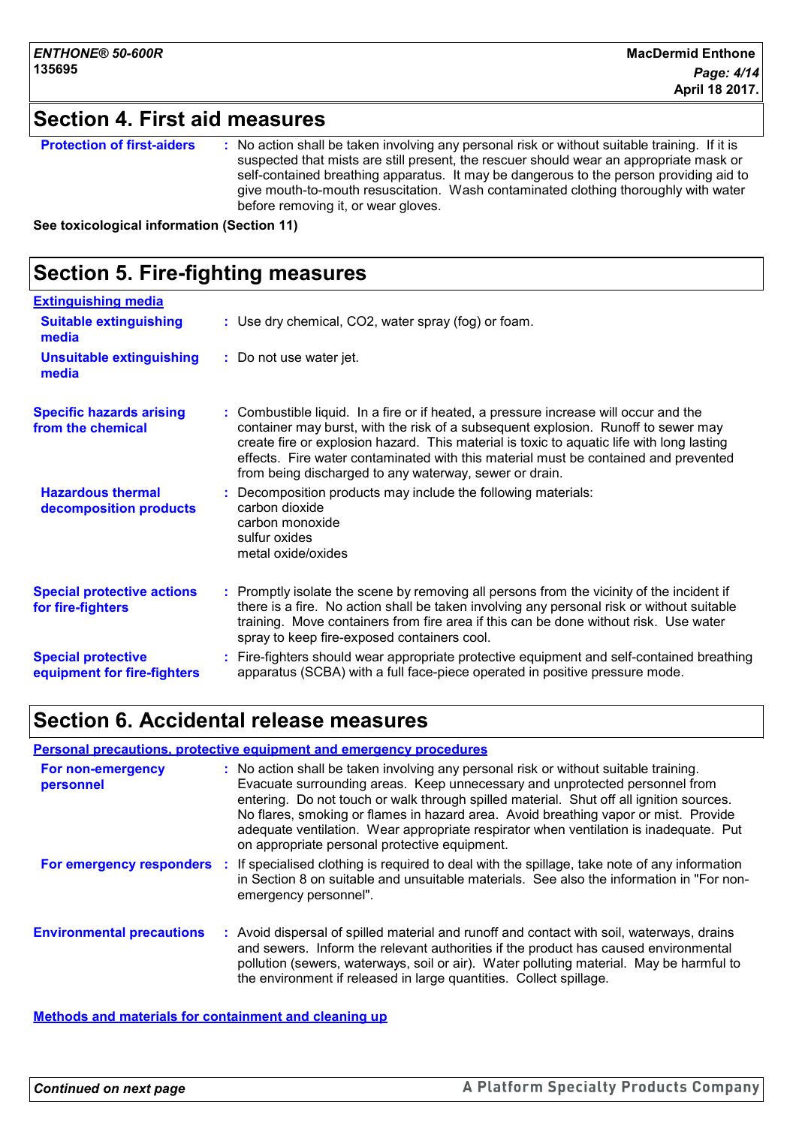## **Section 4. First aid measures**

| <b>Protection of first-aiders</b><br>: No action shall be taken involving any personal risk or without suitable training. If it is<br>suspected that mists are still present, the rescuer should wear an appropriate mask or<br>self-contained breathing apparatus. It may be dangerous to the person providing aid to<br>give mouth-to-mouth resuscitation. Wash contaminated clothing thoroughly with water<br>before removing it, or wear gloves. |
|------------------------------------------------------------------------------------------------------------------------------------------------------------------------------------------------------------------------------------------------------------------------------------------------------------------------------------------------------------------------------------------------------------------------------------------------------|
|------------------------------------------------------------------------------------------------------------------------------------------------------------------------------------------------------------------------------------------------------------------------------------------------------------------------------------------------------------------------------------------------------------------------------------------------------|

**See toxicological information (Section 11)**

#### **Section 5. Fire-fighting measures :** Promptly isolate the scene by removing all persons from the vicinity of the incident if there is a fire. No action shall be taken involving any personal risk or without suitable training. Move containers from fire area if this can be done without risk. Use water spray to keep fire-exposed containers cool. **Hazardous thermal decomposition products Specific hazards arising from the chemical** Decomposition products may include the following materials: **:** carbon dioxide carbon monoxide sulfur oxides metal oxide/oxides Combustible liquid. In a fire or if heated, a pressure increase will occur and the **:** container may burst, with the risk of a subsequent explosion. Runoff to sewer may create fire or explosion hazard. This material is toxic to aquatic life with long lasting effects. Fire water contaminated with this material must be contained and prevented from being discharged to any waterway, sewer or drain. Fire-fighters should wear appropriate protective equipment and self-contained breathing **:** apparatus (SCBA) with a full face-piece operated in positive pressure mode. **Special protective equipment for fire-fighters** Use dry chemical, CO2, water spray (fog) or foam. **: Extinguishing media :** Do not use water jet. **Suitable extinguishing media Unsuitable extinguishing media Special protective actions for fire-fighters**

## **Section 6. Accidental release measures**

#### **Personal precautions, protective equipment and emergency procedures**

| For non-emergency<br>personnel   | : No action shall be taken involving any personal risk or without suitable training.<br>Evacuate surrounding areas. Keep unnecessary and unprotected personnel from<br>entering. Do not touch or walk through spilled material. Shut off all ignition sources.<br>No flares, smoking or flames in hazard area. Avoid breathing vapor or mist. Provide<br>adequate ventilation. Wear appropriate respirator when ventilation is inadequate. Put<br>on appropriate personal protective equipment. |
|----------------------------------|-------------------------------------------------------------------------------------------------------------------------------------------------------------------------------------------------------------------------------------------------------------------------------------------------------------------------------------------------------------------------------------------------------------------------------------------------------------------------------------------------|
| For emergency responders :       | If specialised clothing is required to deal with the spillage, take note of any information<br>in Section 8 on suitable and unsuitable materials. See also the information in "For non-<br>emergency personnel".                                                                                                                                                                                                                                                                                |
| <b>Environmental precautions</b> | : Avoid dispersal of spilled material and runoff and contact with soil, waterways, drains<br>and sewers. Inform the relevant authorities if the product has caused environmental<br>pollution (sewers, waterways, soil or air). Water polluting material. May be harmful to<br>the environment if released in large quantities. Collect spillage.                                                                                                                                               |

**Methods and materials for containment and cleaning up**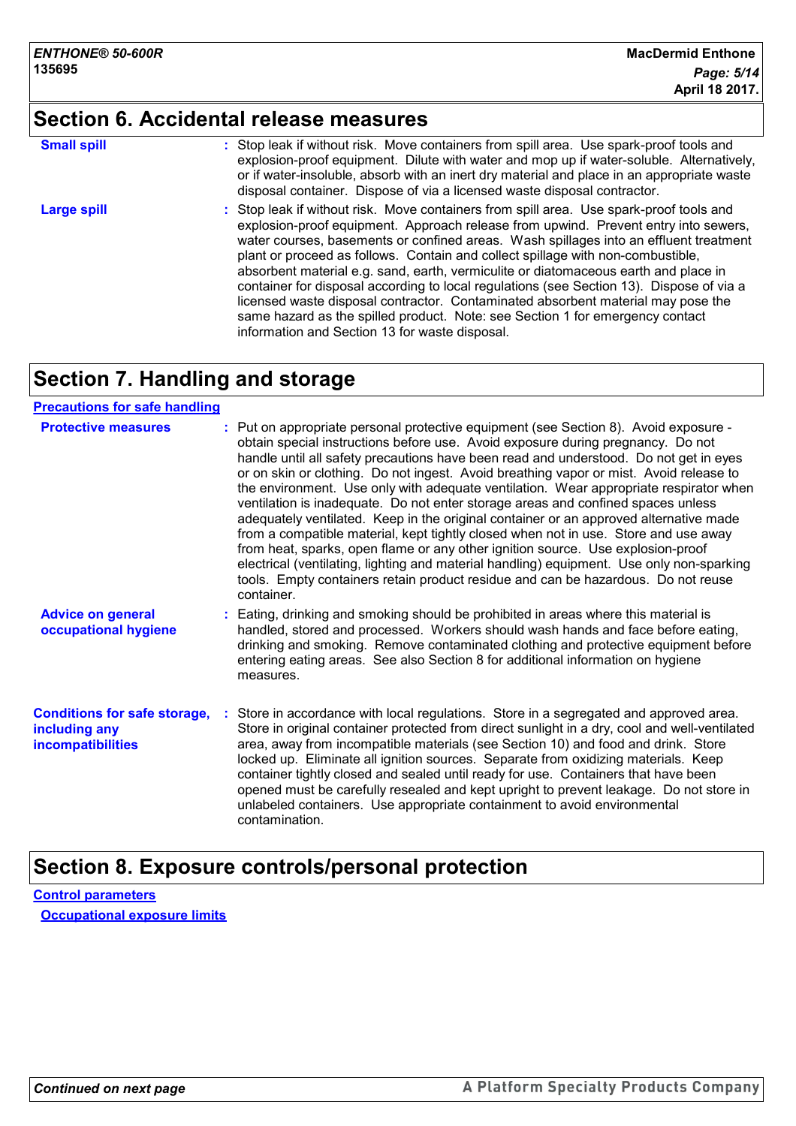## **Section 6. Accidental release measures**

| <b>Small spill</b> | : Stop leak if without risk. Move containers from spill area. Use spark-proof tools and<br>explosion-proof equipment. Dilute with water and mop up if water-soluble. Alternatively,<br>or if water-insoluble, absorb with an inert dry material and place in an appropriate waste<br>disposal container. Dispose of via a licensed waste disposal contractor.                                                                                                                                                                                                                                                                                                                                                                                                        |
|--------------------|----------------------------------------------------------------------------------------------------------------------------------------------------------------------------------------------------------------------------------------------------------------------------------------------------------------------------------------------------------------------------------------------------------------------------------------------------------------------------------------------------------------------------------------------------------------------------------------------------------------------------------------------------------------------------------------------------------------------------------------------------------------------|
| <b>Large spill</b> | : Stop leak if without risk. Move containers from spill area. Use spark-proof tools and<br>explosion-proof equipment. Approach release from upwind. Prevent entry into sewers,<br>water courses, basements or confined areas. Wash spillages into an effluent treatment<br>plant or proceed as follows. Contain and collect spillage with non-combustible,<br>absorbent material e.g. sand, earth, vermiculite or diatomaceous earth and place in<br>container for disposal according to local regulations (see Section 13). Dispose of via a<br>licensed waste disposal contractor. Contaminated absorbent material may pose the<br>same hazard as the spilled product. Note: see Section 1 for emergency contact<br>information and Section 13 for waste disposal. |

## **Section 7. Handling and storage**

#### **Precautions for safe handling**

| <b>Protective measures</b>                                                       | : Put on appropriate personal protective equipment (see Section 8). Avoid exposure -<br>obtain special instructions before use. Avoid exposure during pregnancy. Do not<br>handle until all safety precautions have been read and understood. Do not get in eyes<br>or on skin or clothing. Do not ingest. Avoid breathing vapor or mist. Avoid release to<br>the environment. Use only with adequate ventilation. Wear appropriate respirator when<br>ventilation is inadequate. Do not enter storage areas and confined spaces unless<br>adequately ventilated. Keep in the original container or an approved alternative made<br>from a compatible material, kept tightly closed when not in use. Store and use away<br>from heat, sparks, open flame or any other ignition source. Use explosion-proof<br>electrical (ventilating, lighting and material handling) equipment. Use only non-sparking<br>tools. Empty containers retain product residue and can be hazardous. Do not reuse<br>container. |
|----------------------------------------------------------------------------------|------------------------------------------------------------------------------------------------------------------------------------------------------------------------------------------------------------------------------------------------------------------------------------------------------------------------------------------------------------------------------------------------------------------------------------------------------------------------------------------------------------------------------------------------------------------------------------------------------------------------------------------------------------------------------------------------------------------------------------------------------------------------------------------------------------------------------------------------------------------------------------------------------------------------------------------------------------------------------------------------------------|
| <b>Advice on general</b><br>occupational hygiene                                 | : Eating, drinking and smoking should be prohibited in areas where this material is<br>handled, stored and processed. Workers should wash hands and face before eating,<br>drinking and smoking. Remove contaminated clothing and protective equipment before<br>entering eating areas. See also Section 8 for additional information on hygiene<br>measures.                                                                                                                                                                                                                                                                                                                                                                                                                                                                                                                                                                                                                                              |
| <b>Conditions for safe storage,</b><br>including any<br><b>incompatibilities</b> | : Store in accordance with local regulations. Store in a segregated and approved area.<br>Store in original container protected from direct sunlight in a dry, cool and well-ventilated<br>area, away from incompatible materials (see Section 10) and food and drink. Store<br>locked up. Eliminate all ignition sources. Separate from oxidizing materials. Keep<br>container tightly closed and sealed until ready for use. Containers that have been<br>opened must be carefully resealed and kept upright to prevent leakage. Do not store in<br>unlabeled containers. Use appropriate containment to avoid environmental<br>contamination.                                                                                                                                                                                                                                                                                                                                                           |

## **Section 8. Exposure controls/personal protection**

**Control parameters Occupational exposure limits**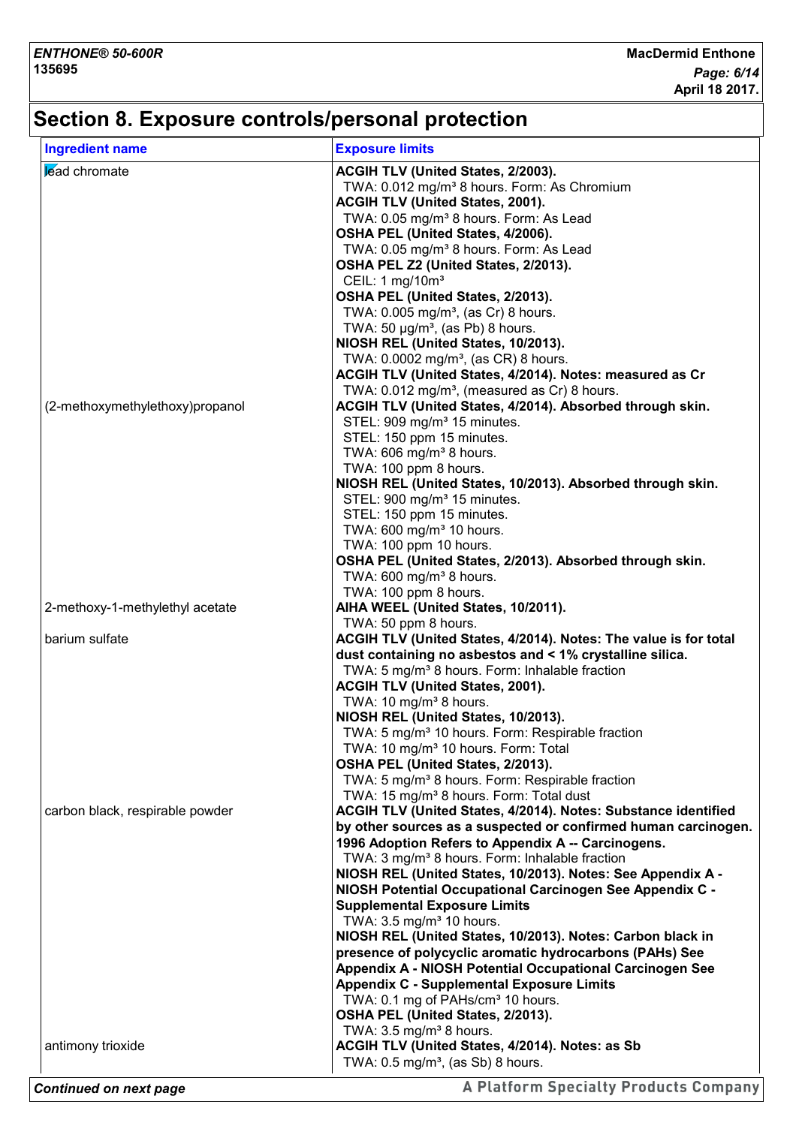## **Section 8. Exposure controls/personal protection**

| <b>Ingredient name</b>          | <b>Exposure limits</b>                                                                                               |
|---------------------------------|----------------------------------------------------------------------------------------------------------------------|
| lead chromate                   | ACGIH TLV (United States, 2/2003).                                                                                   |
|                                 | TWA: 0.012 mg/m <sup>3</sup> 8 hours. Form: As Chromium                                                              |
|                                 | <b>ACGIH TLV (United States, 2001).</b>                                                                              |
|                                 | TWA: 0.05 mg/m <sup>3</sup> 8 hours. Form: As Lead                                                                   |
|                                 | OSHA PEL (United States, 4/2006).                                                                                    |
|                                 | TWA: 0.05 mg/m <sup>3</sup> 8 hours. Form: As Lead                                                                   |
|                                 | OSHA PEL Z2 (United States, 2/2013).                                                                                 |
|                                 | CEIL: 1 mg/10m <sup>3</sup>                                                                                          |
|                                 | OSHA PEL (United States, 2/2013).<br>TWA: $0.005$ mg/m <sup>3</sup> , (as Cr) 8 hours.                               |
|                                 | TWA: 50 $\mu$ g/m <sup>3</sup> , (as Pb) 8 hours.                                                                    |
|                                 | NIOSH REL (United States, 10/2013).                                                                                  |
|                                 | TWA: 0.0002 mg/m <sup>3</sup> , (as CR) 8 hours.                                                                     |
|                                 | ACGIH TLV (United States, 4/2014). Notes: measured as Cr                                                             |
|                                 | TWA: 0.012 mg/m <sup>3</sup> , (measured as Cr) 8 hours.                                                             |
| (2-methoxymethylethoxy)propanol | ACGIH TLV (United States, 4/2014). Absorbed through skin.                                                            |
|                                 | STEL: 909 mg/m <sup>3</sup> 15 minutes.                                                                              |
|                                 | STEL: 150 ppm 15 minutes.                                                                                            |
|                                 | TWA: 606 mg/m <sup>3</sup> 8 hours.                                                                                  |
|                                 | TWA: 100 ppm 8 hours.                                                                                                |
|                                 | NIOSH REL (United States, 10/2013). Absorbed through skin.                                                           |
|                                 | STEL: 900 mg/m <sup>3</sup> 15 minutes.                                                                              |
|                                 | STEL: 150 ppm 15 minutes.                                                                                            |
|                                 | TWA: 600 mg/m <sup>3</sup> 10 hours.                                                                                 |
|                                 | TWA: 100 ppm 10 hours.                                                                                               |
|                                 | OSHA PEL (United States, 2/2013). Absorbed through skin.                                                             |
|                                 | TWA: 600 mg/m <sup>3</sup> 8 hours.<br>TWA: 100 ppm 8 hours.                                                         |
| 2-methoxy-1-methylethyl acetate | AIHA WEEL (United States, 10/2011).                                                                                  |
|                                 | TWA: 50 ppm 8 hours.                                                                                                 |
| barium sulfate                  | ACGIH TLV (United States, 4/2014). Notes: The value is for total                                                     |
|                                 | dust containing no asbestos and < 1% crystalline silica.                                                             |
|                                 | TWA: 5 mg/m <sup>3</sup> 8 hours. Form: Inhalable fraction                                                           |
|                                 | ACGIH TLV (United States, 2001).                                                                                     |
|                                 | TWA: 10 mg/m <sup>3</sup> 8 hours.                                                                                   |
|                                 | NIOSH REL (United States, 10/2013).                                                                                  |
|                                 | TWA: 5 mg/m <sup>3</sup> 10 hours. Form: Respirable fraction                                                         |
|                                 | TWA: 10 mg/m <sup>3</sup> 10 hours. Form: Total                                                                      |
|                                 | OSHA PEL (United States, 2/2013).                                                                                    |
|                                 | TWA: 5 mg/m <sup>3</sup> 8 hours. Form: Respirable fraction                                                          |
|                                 | TWA: 15 mg/m <sup>3</sup> 8 hours. Form: Total dust                                                                  |
| carbon black, respirable powder | ACGIH TLV (United States, 4/2014). Notes: Substance identified                                                       |
|                                 | by other sources as a suspected or confirmed human carcinogen.<br>1996 Adoption Refers to Appendix A -- Carcinogens. |
|                                 | TWA: 3 mg/m <sup>3</sup> 8 hours. Form: Inhalable fraction                                                           |
|                                 | NIOSH REL (United States, 10/2013). Notes: See Appendix A -                                                          |
|                                 | NIOSH Potential Occupational Carcinogen See Appendix C -                                                             |
|                                 | <b>Supplemental Exposure Limits</b>                                                                                  |
|                                 | TWA: 3.5 mg/m <sup>3</sup> 10 hours.                                                                                 |
|                                 | NIOSH REL (United States, 10/2013). Notes: Carbon black in                                                           |
|                                 | presence of polycyclic aromatic hydrocarbons (PAHs) See                                                              |
|                                 | Appendix A - NIOSH Potential Occupational Carcinogen See                                                             |
|                                 | <b>Appendix C - Supplemental Exposure Limits</b>                                                                     |
|                                 | TWA: 0.1 mg of PAHs/cm <sup>3</sup> 10 hours.                                                                        |
|                                 | OSHA PEL (United States, 2/2013).                                                                                    |
|                                 | TWA: $3.5 \text{ mg/m}^3$ 8 hours.                                                                                   |
| antimony trioxide               | ACGIH TLV (United States, 4/2014). Notes: as Sb                                                                      |
|                                 | TWA: $0.5 \text{ mg/m}^3$ , (as Sb) 8 hours.                                                                         |
|                                 |                                                                                                                      |

*Continued on next page*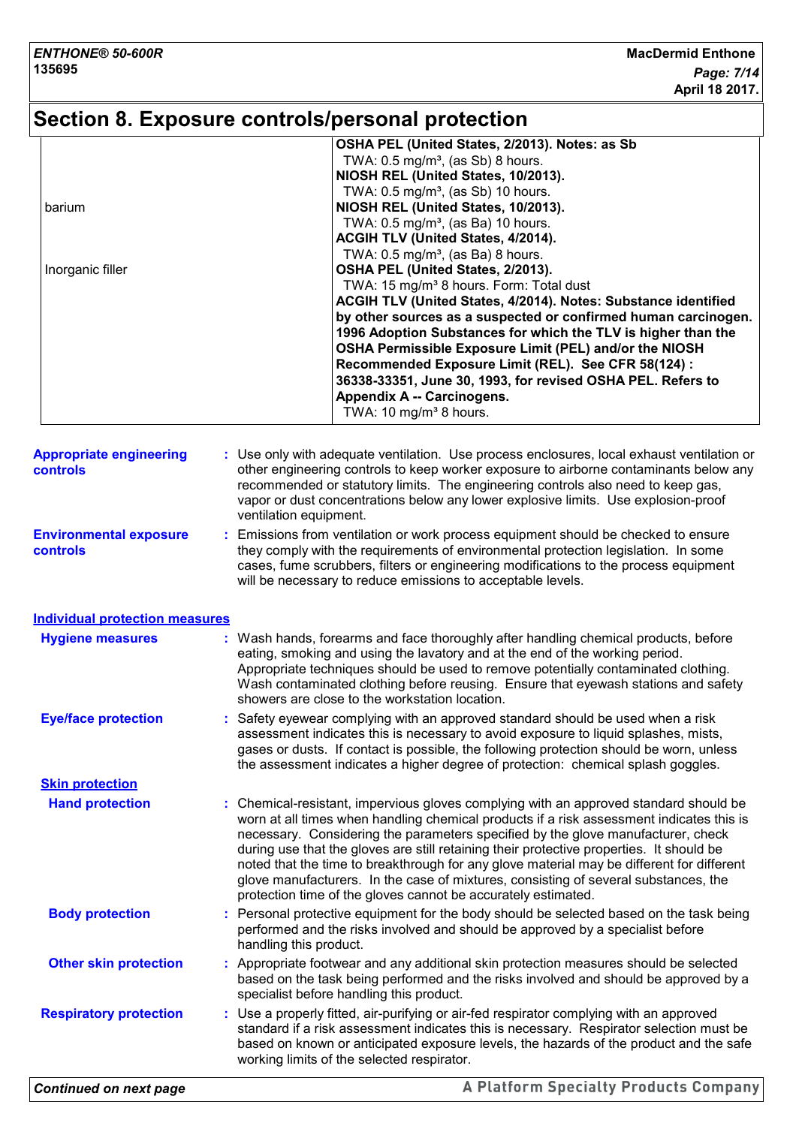## **Section 8. Exposure controls/personal protection**

|                  | OSHA PEL (United States, 2/2013). Notes: as Sb                 |
|------------------|----------------------------------------------------------------|
|                  | TWA: $0.5 \text{ mg/m}^3$ , (as Sb) 8 hours.                   |
|                  | NIOSH REL (United States, 10/2013).                            |
|                  | TWA: 0.5 mg/m <sup>3</sup> , (as Sb) 10 hours.                 |
| barium           | NIOSH REL (United States, 10/2013).                            |
|                  | TWA: $0.5 \text{ mg/m}^3$ , (as Ba) 10 hours.                  |
|                  | ACGIH TLV (United States, 4/2014).                             |
|                  | TWA: $0.5 \text{ mg/m}^3$ , (as Ba) 8 hours.                   |
| Inorganic filler | OSHA PEL (United States, 2/2013).                              |
|                  | TWA: 15 mg/m <sup>3</sup> 8 hours. Form: Total dust            |
|                  | ACGIH TLV (United States, 4/2014). Notes: Substance identified |
|                  | by other sources as a suspected or confirmed human carcinogen. |
|                  | 1996 Adoption Substances for which the TLV is higher than the  |
|                  | OSHA Permissible Exposure Limit (PEL) and/or the NIOSH         |
|                  | Recommended Exposure Limit (REL). See CFR 58(124):             |
|                  | 36338-33351, June 30, 1993, for revised OSHA PEL. Refers to    |
|                  | Appendix A -- Carcinogens.                                     |
|                  | TWA: 10 mg/m <sup>3</sup> 8 hours.                             |

| <b>Appropriate engineering</b><br><b>controls</b> | : Use only with adequate ventilation. Use process enclosures, local exhaust ventilation or<br>other engineering controls to keep worker exposure to airborne contaminants below any<br>recommended or statutory limits. The engineering controls also need to keep gas,<br>vapor or dust concentrations below any lower explosive limits. Use explosion-proof<br>ventilation equipment. |
|---------------------------------------------------|-----------------------------------------------------------------------------------------------------------------------------------------------------------------------------------------------------------------------------------------------------------------------------------------------------------------------------------------------------------------------------------------|
| <b>Environmental exposure</b><br><b>controls</b>  | Emissions from ventilation or work process equipment should be checked to ensure<br>they comply with the requirements of environmental protection legislation. In some<br>cases, fume scrubbers, filters or engineering modifications to the process equipment<br>will be necessary to reduce emissions to acceptable levels.                                                           |

#### **Individual protection measures**

| <u>Individual protection ineasures</u> |                                                                                                                                                                                                                                                                                                                                                                                                                                                                                                                                                                                                                        |
|----------------------------------------|------------------------------------------------------------------------------------------------------------------------------------------------------------------------------------------------------------------------------------------------------------------------------------------------------------------------------------------------------------------------------------------------------------------------------------------------------------------------------------------------------------------------------------------------------------------------------------------------------------------------|
| <b>Hygiene measures</b>                | : Wash hands, forearms and face thoroughly after handling chemical products, before<br>eating, smoking and using the lavatory and at the end of the working period.<br>Appropriate techniques should be used to remove potentially contaminated clothing.<br>Wash contaminated clothing before reusing. Ensure that eyewash stations and safety<br>showers are close to the workstation location.                                                                                                                                                                                                                      |
| <b>Eye/face protection</b>             | : Safety eyewear complying with an approved standard should be used when a risk<br>assessment indicates this is necessary to avoid exposure to liquid splashes, mists,<br>gases or dusts. If contact is possible, the following protection should be worn, unless<br>the assessment indicates a higher degree of protection: chemical splash goggles.                                                                                                                                                                                                                                                                  |
| <b>Skin protection</b>                 |                                                                                                                                                                                                                                                                                                                                                                                                                                                                                                                                                                                                                        |
| <b>Hand protection</b>                 | : Chemical-resistant, impervious gloves complying with an approved standard should be<br>worn at all times when handling chemical products if a risk assessment indicates this is<br>necessary. Considering the parameters specified by the glove manufacturer, check<br>during use that the gloves are still retaining their protective properties. It should be<br>noted that the time to breakthrough for any glove material may be different for different<br>glove manufacturers. In the case of mixtures, consisting of several substances, the<br>protection time of the gloves cannot be accurately estimated. |
| <b>Body protection</b>                 | : Personal protective equipment for the body should be selected based on the task being<br>performed and the risks involved and should be approved by a specialist before<br>handling this product.                                                                                                                                                                                                                                                                                                                                                                                                                    |
| <b>Other skin protection</b>           | : Appropriate footwear and any additional skin protection measures should be selected<br>based on the task being performed and the risks involved and should be approved by a<br>specialist before handling this product.                                                                                                                                                                                                                                                                                                                                                                                              |
| <b>Respiratory protection</b>          | : Use a properly fitted, air-purifying or air-fed respirator complying with an approved<br>standard if a risk assessment indicates this is necessary. Respirator selection must be<br>based on known or anticipated exposure levels, the hazards of the product and the safe<br>working limits of the selected respirator.                                                                                                                                                                                                                                                                                             |
|                                        |                                                                                                                                                                                                                                                                                                                                                                                                                                                                                                                                                                                                                        |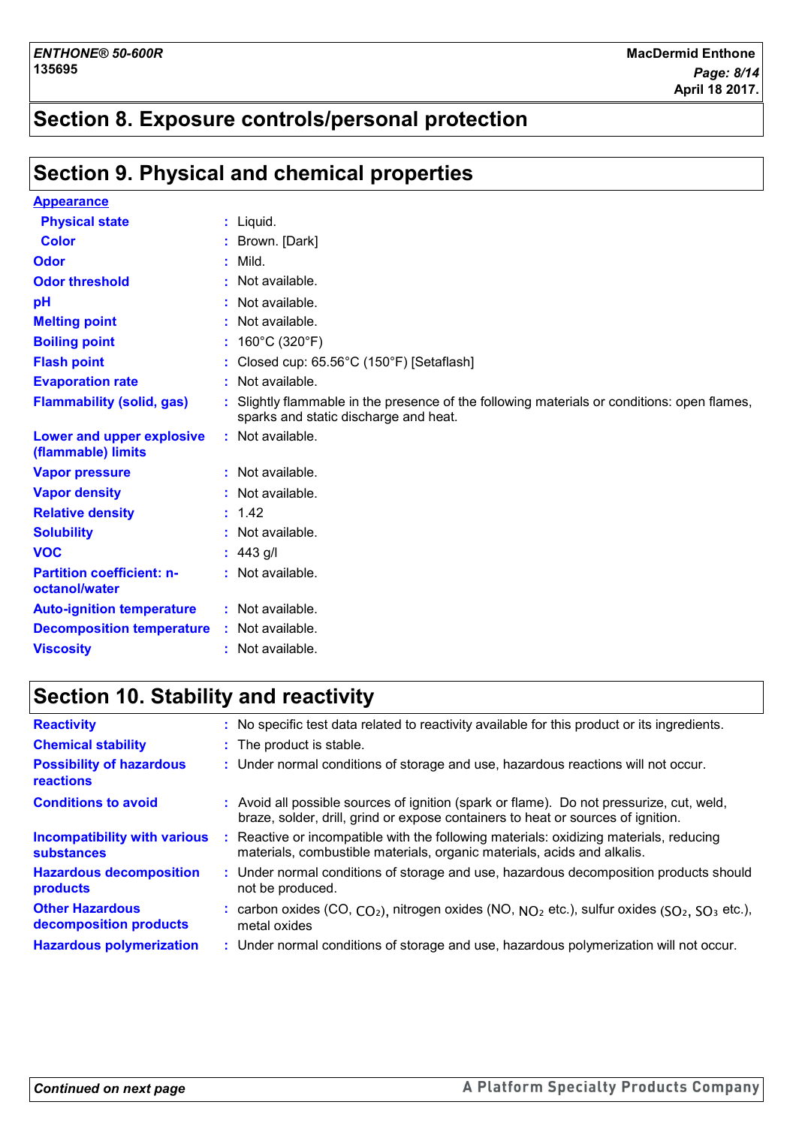## **Section 8. Exposure controls/personal protection**

## **Section 9. Physical and chemical properties**

|    | $:$ Liquid.                                                                                                                        |
|----|------------------------------------------------------------------------------------------------------------------------------------|
|    | : Brown. [Dark]                                                                                                                    |
|    | $:$ Mild.                                                                                                                          |
|    | : Not available.                                                                                                                   |
|    | : Not available.                                                                                                                   |
|    | : Not available.                                                                                                                   |
|    | : $160^{\circ}$ C (320 $^{\circ}$ F)                                                                                               |
| ÷. | Closed cup: 65.56°C (150°F) [Setaflash]                                                                                            |
|    | : Not available.                                                                                                                   |
| ÷  | Slightly flammable in the presence of the following materials or conditions: open flames,<br>sparks and static discharge and heat. |
|    | : Not available.                                                                                                                   |
|    | : Not available.                                                                                                                   |
|    | : Not available.                                                                                                                   |
|    | : 1.42                                                                                                                             |
|    | : Not available.                                                                                                                   |
|    | : $443$ g/l                                                                                                                        |
|    | : Not available.                                                                                                                   |
|    | : Not available.                                                                                                                   |
|    | : Not available.                                                                                                                   |
|    | : Not available.                                                                                                                   |
|    |                                                                                                                                    |

## **Section 10. Stability and reactivity**

| <b>Reactivity</b>                                        |    | : No specific test data related to reactivity available for this product or its ingredients.                                                                                 |
|----------------------------------------------------------|----|------------------------------------------------------------------------------------------------------------------------------------------------------------------------------|
| <b>Chemical stability</b>                                |    | : The product is stable.                                                                                                                                                     |
| <b>Possibility of hazardous</b><br>reactions             |    | : Under normal conditions of storage and use, hazardous reactions will not occur.                                                                                            |
| <b>Conditions to avoid</b>                               |    | : Avoid all possible sources of ignition (spark or flame). Do not pressurize, cut, weld,<br>braze, solder, drill, grind or expose containers to heat or sources of ignition. |
| <b>Incompatibility with various</b><br><b>substances</b> | ÷. | Reactive or incompatible with the following materials: oxidizing materials, reducing<br>materials, combustible materials, organic materials, acids and alkalis.              |
| <b>Hazardous decomposition</b><br>products               |    | : Under normal conditions of storage and use, hazardous decomposition products should<br>not be produced.                                                                    |
| <b>Other Hazardous</b><br>decomposition products         |    | : carbon oxides $(CO, CO2)$ , nitrogen oxides $(NO, NO2 etc.),$ sulfur oxides $(SO2, SO3 etc.),$<br>metal oxides                                                             |
| <b>Hazardous polymerization</b>                          |    | : Under normal conditions of storage and use, hazardous polymerization will not occur.                                                                                       |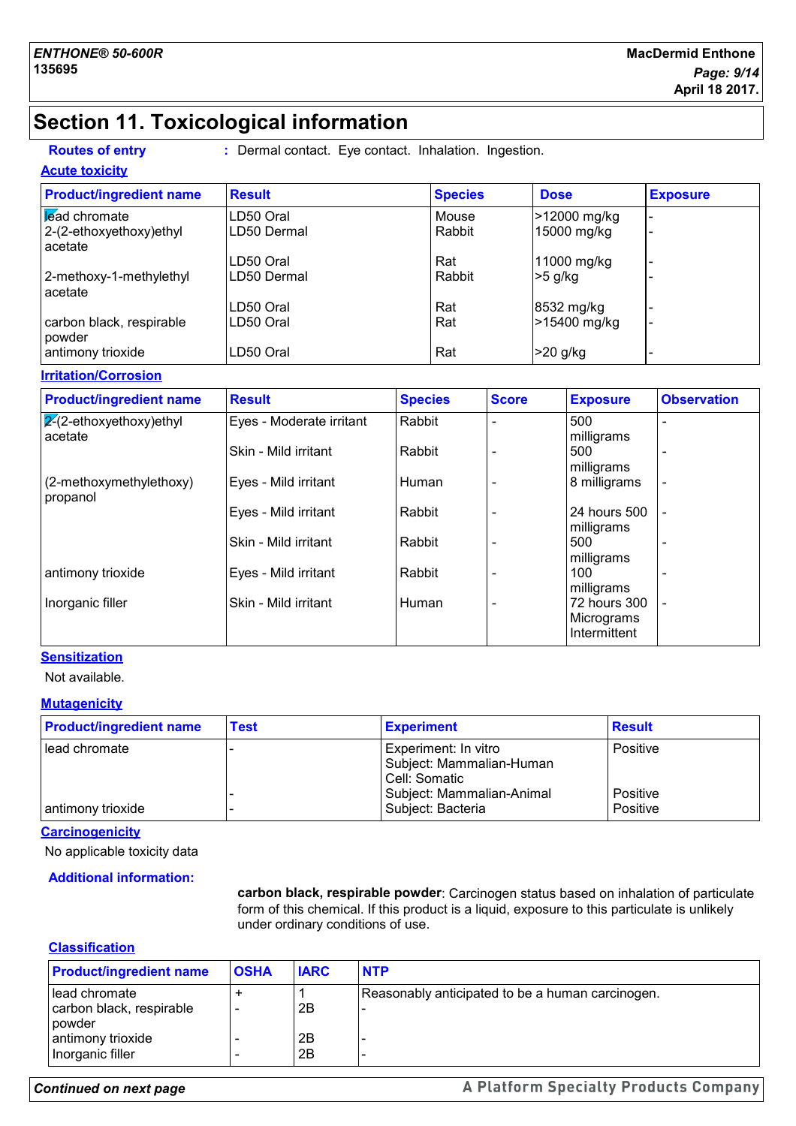## **Section 11. Toxicological information**

**Routes of entry :** Dermal contact. Eye contact. Inhalation. Ingestion.

#### **Acute toxicity**

| <b>Product/ingredient name</b> | <b>Result</b> | <b>Species</b> | <b>Dose</b>  | <b>Exposure</b> |
|--------------------------------|---------------|----------------|--------------|-----------------|
| Lead chromate                  | LD50 Oral     | Mouse          | >12000 mg/kg |                 |
| 2-(2-ethoxyethoxy)ethyl        | LD50 Dermal   | Rabbit         | 15000 mg/kg  |                 |
| acetate                        |               |                |              |                 |
|                                | LD50 Oral     | Rat            | 11000 mg/kg  |                 |
| 2-methoxy-1-methylethyl        | LD50 Dermal   | Rabbit         | >5 g/kg      |                 |
| l acetate                      |               |                |              |                 |
|                                | LD50 Oral     | Rat            | 8532 mg/kg   |                 |
| carbon black, respirable       | LD50 Oral     | Rat            | >15400 mg/kg |                 |
| powder                         |               |                |              |                 |
| antimony trioxide              | LD50 Oral     | Rat            | >20 g/kg     |                 |

#### **Irritation/Corrosion**

| <b>Product/ingredient name</b>       | <b>Result</b>            | <b>Species</b> | <b>Score</b> | <b>Exposure</b>            | <b>Observation</b>       |
|--------------------------------------|--------------------------|----------------|--------------|----------------------------|--------------------------|
| $ 2(2-ethoxyethoxy)ethyl$<br>acetate | Eyes - Moderate irritant | Rabbit         |              | 500<br>milligrams          |                          |
|                                      | Skin - Mild irritant     | Rabbit         |              | 500<br>milligrams          | ٠                        |
| (2-methoxymethylethoxy)              | Eyes - Mild irritant     | Human          |              | 8 milligrams               | $\overline{\phantom{0}}$ |
| propanol                             | Eyes - Mild irritant     | Rabbit         |              | 24 hours 500               |                          |
|                                      | Skin - Mild irritant     | Rabbit         |              | milligrams<br>500          |                          |
| antimony trioxide                    | Eyes - Mild irritant     | Rabbit         |              | milligrams<br>100          |                          |
| Inorganic filler                     | Skin - Mild irritant     | Human          |              | milligrams<br>72 hours 300 | $\overline{\phantom{a}}$ |
|                                      |                          |                |              | Micrograms<br>Intermittent |                          |

#### **Sensitization**

Not available.

#### **Mutagenicity**

| <b>Product/ingredient name</b> | <b>Test</b> | <b>Experiment</b>                                                 | <b>Result</b>        |  |
|--------------------------------|-------------|-------------------------------------------------------------------|----------------------|--|
| l lead chromate                |             | Experiment: In vitro<br>Subject: Mammalian-Human<br>Cell: Somatic | Positive             |  |
| antimony trioxide              |             | Subject: Mammalian-Animal<br>Subject: Bacteria                    | Positive<br>Positive |  |

#### **Carcinogenicity**

No applicable toxicity data

#### **Additional information:**

**carbon black, respirable powder**: Carcinogen status based on inhalation of particulate form of this chemical. If this product is a liquid, exposure to this particulate is unlikely under ordinary conditions of use.

#### **Classification**

| <b>Product/ingredient name</b>                                            | <b>OSHA</b> | <b>IARC</b> | <b>NTP</b>                                       |
|---------------------------------------------------------------------------|-------------|-------------|--------------------------------------------------|
| llead chromate<br>carbon black, respirable<br>powder<br>antimony trioxide |             | 2B<br>2Β    | Reasonably anticipated to be a human carcinogen. |
| Inorganic filler                                                          |             | 2B          |                                                  |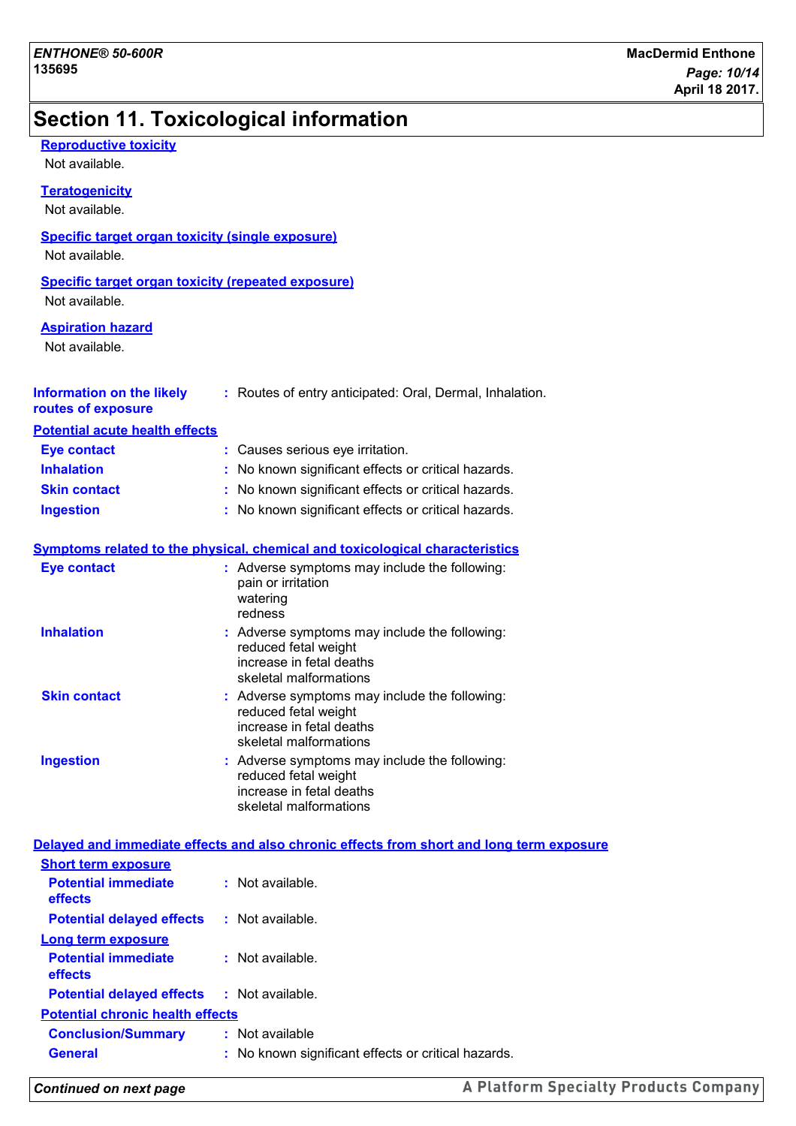## **Section 11. Toxicological information**

### **Teratogenicity** Not available. **Reproductive toxicity** Not available. **Information on the likely routes of exposure Inhalation :** No known significant effects or critical hazards. **Ingestion :** No known significant effects or critical hazards. **Skin contact :** No known significant effects or critical hazards. **Eye contact :** Causes serious eye irritation. **Symptoms related to the physical, chemical and toxicological characteristics Skin contact Inhalation Adverse symptoms may include the following:**  $\blacksquare$ reduced fetal weight increase in fetal deaths skeletal malformations Adverse symptoms may include the following: **:** reduced fetal weight .<br>http://www.in.fetal.com/ **Eye contact :** Adverse symptoms may include the following: pain or irritation watering redness **Specific target organ toxicity (single exposure) Specific target organ toxicity (repeated exposure)** Not available. Not available. **Aspiration hazard** Not available. **:** Routes of entry anticipated: Oral, Dermal, Inhalation. **Potential acute health effects**

|                  | Thulease In Telal deaths<br>skeletal malformations                                                                          |
|------------------|-----------------------------------------------------------------------------------------------------------------------------|
| <b>Ingestion</b> | : Adverse symptoms may include the following:<br>reduced fetal weight<br>increase in fetal deaths<br>skeletal malformations |
|                  |                                                                                                                             |

|                                                   | Delayed and immediate effects and also chronic effects from short and long term exposure |
|---------------------------------------------------|------------------------------------------------------------------------------------------|
| <b>Short term exposure</b>                        |                                                                                          |
| <b>Potential immediate</b><br>effects             | : Not available.                                                                         |
| <b>Potential delayed effects</b>                  | : Not available.                                                                         |
| Long term exposure                                |                                                                                          |
| <b>Potential immediate</b><br><b>effects</b>      | : Not available.                                                                         |
| <b>Potential delayed effects : Not available.</b> |                                                                                          |
| <b>Potential chronic health effects</b>           |                                                                                          |
| <b>Conclusion/Summary</b>                         | : Not available                                                                          |
| <b>General</b>                                    | : No known significant effects or critical hazards.                                      |

*Continued on next page*

**A Platform Specialty Products Company**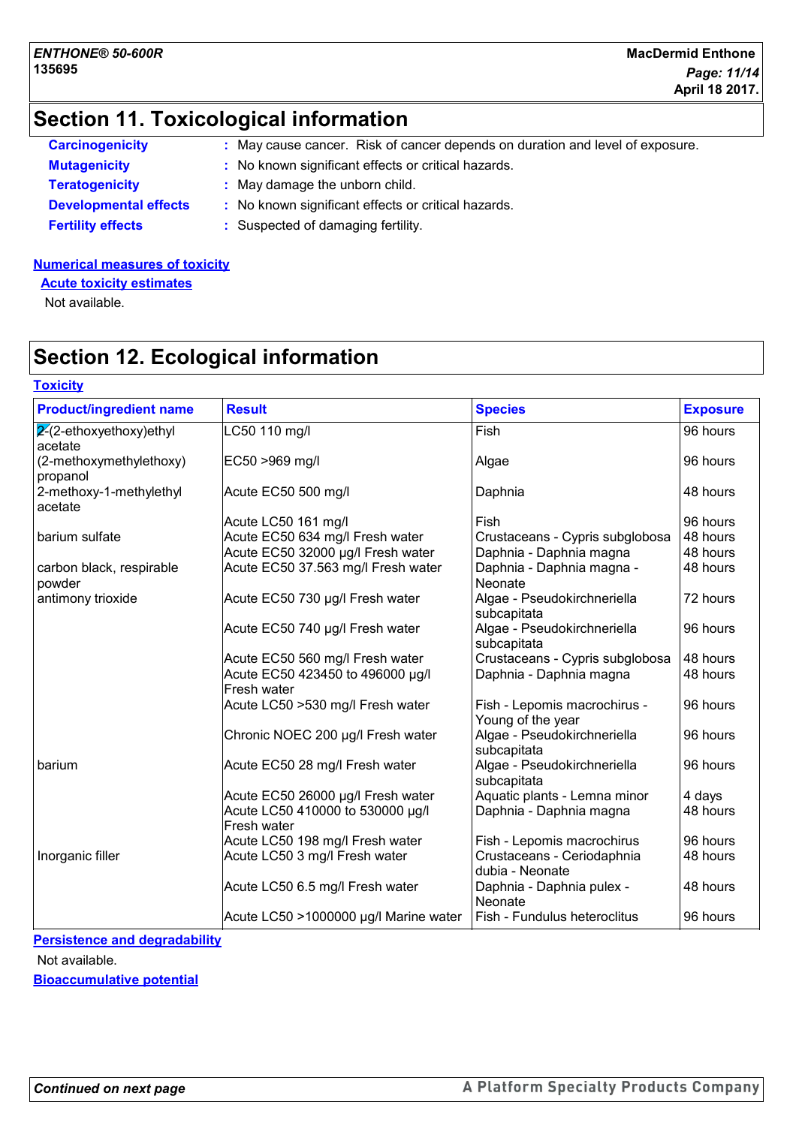## **Section 11. Toxicological information**

| <b>Carcinogenicity</b>       | : May cause cancer. Risk of cancer depends on duration and level of exposure. |
|------------------------------|-------------------------------------------------------------------------------|
| <b>Mutagenicity</b>          | : No known significant effects or critical hazards.                           |
| <b>Teratogenicity</b>        | : May damage the unborn child.                                                |
| <b>Developmental effects</b> | : No known significant effects or critical hazards.                           |
| <b>Fertility effects</b>     | : Suspected of damaging fertility.                                            |
|                              |                                                                               |

#### **Numerical measures of toxicity**

**Acute toxicity estimates**

Not available.

## **Section 12. Ecological information**

#### **Toxicity**

| <b>Product/ingredient name</b>     | <b>Result</b>                                   | <b>Species</b>                                    | <b>Exposure</b> |
|------------------------------------|-------------------------------------------------|---------------------------------------------------|-----------------|
| $\overline{2}$ -ethoxyethoxy)ethyl | LC50 110 mg/l                                   | Fish                                              | 96 hours        |
| acetate                            |                                                 |                                                   |                 |
| (2-methoxymethylethoxy)            | EC50 >969 mg/l                                  | Algae                                             | 96 hours        |
| propanol                           |                                                 |                                                   |                 |
| 2-methoxy-1-methylethyl<br>acetate | Acute EC50 500 mg/l                             | Daphnia                                           | 48 hours        |
|                                    | Acute LC50 161 mg/l                             | Fish                                              | 96 hours        |
| barium sulfate                     | Acute EC50 634 mg/l Fresh water                 | Crustaceans - Cypris subglobosa                   | 48 hours        |
|                                    | Acute EC50 32000 µg/l Fresh water               | Daphnia - Daphnia magna                           | 48 hours        |
| carbon black, respirable<br>powder | Acute EC50 37.563 mg/l Fresh water              | Daphnia - Daphnia magna -<br>Neonate              | 48 hours        |
| antimony trioxide                  | Acute EC50 730 µg/l Fresh water                 | Algae - Pseudokirchneriella<br>subcapitata        | 72 hours        |
|                                    | Acute EC50 740 µg/l Fresh water                 | Algae - Pseudokirchneriella<br>subcapitata        | 96 hours        |
|                                    | Acute EC50 560 mg/l Fresh water                 | Crustaceans - Cypris subglobosa                   | 48 hours        |
|                                    | Acute EC50 423450 to 496000 µg/l<br>Fresh water | Daphnia - Daphnia magna                           | 48 hours        |
|                                    | Acute LC50 >530 mg/l Fresh water                | Fish - Lepomis macrochirus -<br>Young of the year | 96 hours        |
|                                    | Chronic NOEC 200 µg/l Fresh water               | Algae - Pseudokirchneriella<br>subcapitata        | 96 hours        |
| barium                             | Acute EC50 28 mg/l Fresh water                  | Algae - Pseudokirchneriella<br>subcapitata        | 96 hours        |
|                                    | Acute EC50 26000 µg/l Fresh water               | Aquatic plants - Lemna minor                      | 4 days          |
|                                    | Acute LC50 410000 to 530000 µg/l<br>Fresh water | Daphnia - Daphnia magna                           | 48 hours        |
|                                    | Acute LC50 198 mg/l Fresh water                 | Fish - Lepomis macrochirus                        | 96 hours        |
| Inorganic filler                   | Acute LC50 3 mg/l Fresh water                   | Crustaceans - Ceriodaphnia<br>dubia - Neonate     | 48 hours        |
|                                    | Acute LC50 6.5 mg/l Fresh water                 | Daphnia - Daphnia pulex -<br>Neonate              | 48 hours        |
|                                    | Acute LC50 >1000000 µg/l Marine water           | Fish - Fundulus heteroclitus                      | 96 hours        |

**Persistence and degradability**

Not available.

**Bioaccumulative potential**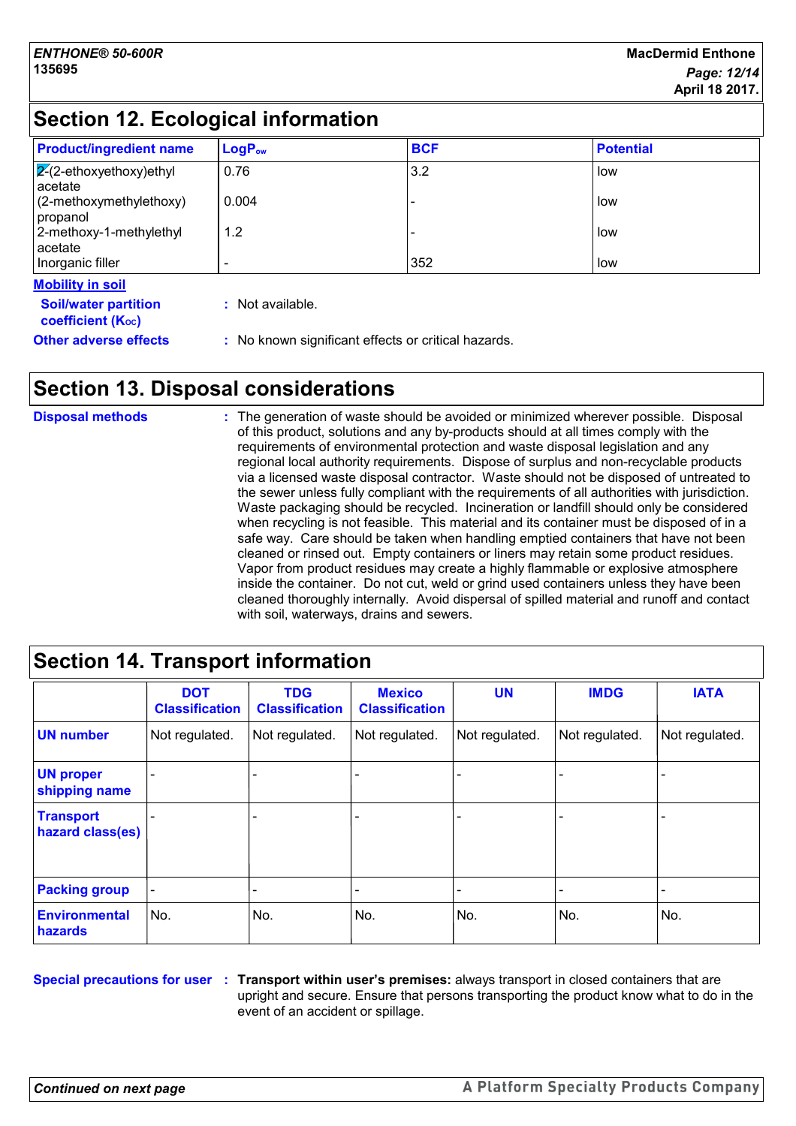## **Section 12. Ecological information**

| <b>Product/ingredient name</b>                   | $LogP_{ow}$        | <b>BCF</b> | <b>Potential</b> |
|--------------------------------------------------|--------------------|------------|------------------|
| $\sqrt{2}$ -ethoxyethoxy)ethyl<br>acetate        | 0.76               | 3.2        | low              |
| (2-methoxymethylethoxy)<br>propanol              | 0.004              |            | low              |
| 2-methoxy-1-methylethyl<br>acetate               | 1.2                |            | low              |
| Inorganic filler                                 |                    | 352        | low              |
| <b>Mobility in soil</b>                          |                    |            |                  |
| <b>Soil/water partition</b><br>coefficient (Koc) | $:$ Not available. |            |                  |

**Other adverse effects** : No known significant effects or critical hazards.

## **Section 13. Disposal considerations**

| <b>Disposal methods</b> | : The generation of waste should be avoided or minimized wherever possible. Disposal<br>of this product, solutions and any by-products should at all times comply with the<br>requirements of environmental protection and waste disposal legislation and any<br>regional local authority requirements. Dispose of surplus and non-recyclable products<br>via a licensed waste disposal contractor. Waste should not be disposed of untreated to<br>the sewer unless fully compliant with the requirements of all authorities with jurisdiction.<br>Waste packaging should be recycled. Incineration or landfill should only be considered<br>when recycling is not feasible. This material and its container must be disposed of in a<br>safe way. Care should be taken when handling emptied containers that have not been<br>cleaned or rinsed out. Empty containers or liners may retain some product residues.<br>Vapor from product residues may create a highly flammable or explosive atmosphere<br>inside the container. Do not cut, weld or grind used containers unless they have been |
|-------------------------|---------------------------------------------------------------------------------------------------------------------------------------------------------------------------------------------------------------------------------------------------------------------------------------------------------------------------------------------------------------------------------------------------------------------------------------------------------------------------------------------------------------------------------------------------------------------------------------------------------------------------------------------------------------------------------------------------------------------------------------------------------------------------------------------------------------------------------------------------------------------------------------------------------------------------------------------------------------------------------------------------------------------------------------------------------------------------------------------------|
|                         | cleaned thoroughly internally. Avoid dispersal of spilled material and runoff and contact<br>with soil, waterways, drains and sewers.                                                                                                                                                                                                                                                                                                                                                                                                                                                                                                                                                                                                                                                                                                                                                                                                                                                                                                                                                             |

#### **Section 14. Transport information** - - - - - - Not regulated. - - Not regulated. | Not regulated. | Not regulated. | Not regulated. | Not regulated. | N **DOT Classification IMDG IATA UN number UN proper shipping name Transport hazard class(es) Packing group Environmental hazards** No. No. No. **TDG Classification** Not regulated. - - No. **Mexico Classification** - - No. Not regulated. | Not regulated. - **UN** - No.

**Special precautions for user Transport within user's premises:** always transport in closed containers that are **:** upright and secure. Ensure that persons transporting the product know what to do in the event of an accident or spillage.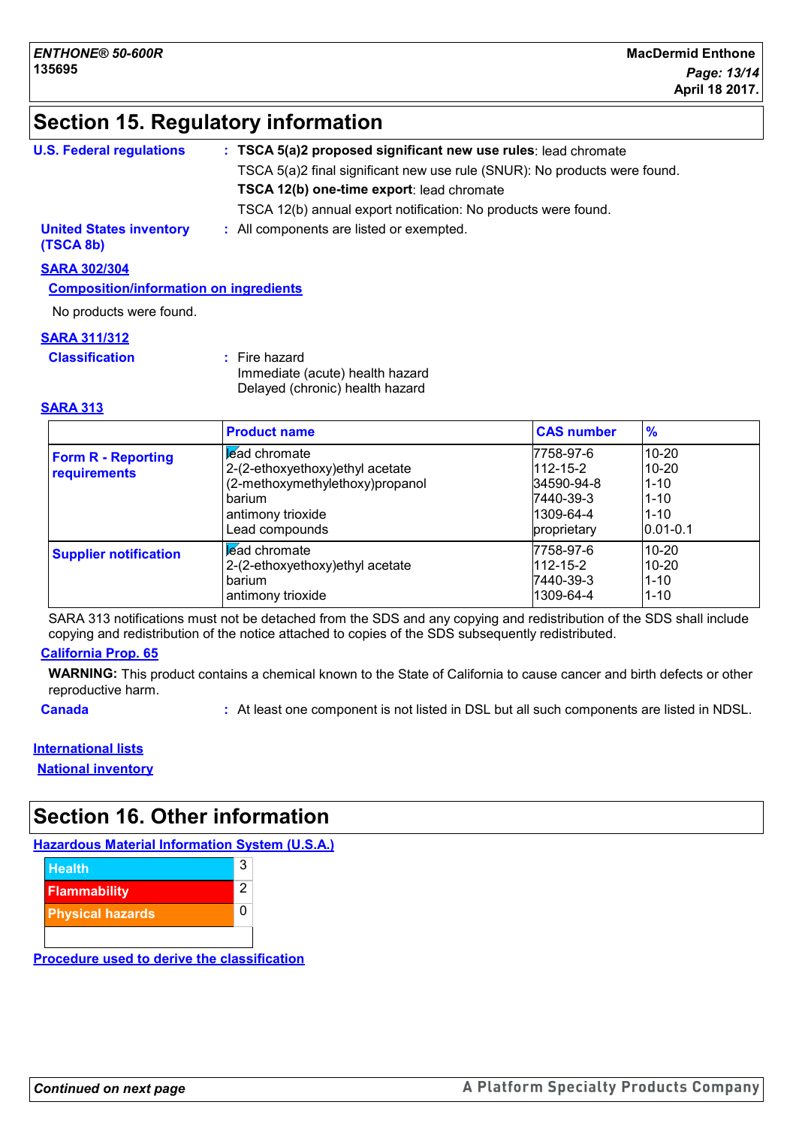## **Section 15. Regulatory information**

| : TSCA 5(a)2 proposed significant new use rules: lead chromate            |
|---------------------------------------------------------------------------|
| TSCA 5(a)2 final significant new use rule (SNUR): No products were found. |
| TSCA 12(b) one-time export: lead chromate                                 |
| TSCA 12(b) annual export notification: No products were found.            |
| : All components are listed or exempted.                                  |
|                                                                           |

**SARA 302/304**

**Composition/information on ingredients**

No products were found.

#### **SARA 311/312**

**Classification :** Fire hazard Immediate (acute) health hazard Delayed (chronic) health hazard

**SARA 313**

|                                           | <b>Product name</b>                                                                                                                   | <b>CAS number</b>                                                                  | $\frac{9}{6}$                                                              |
|-------------------------------------------|---------------------------------------------------------------------------------------------------------------------------------------|------------------------------------------------------------------------------------|----------------------------------------------------------------------------|
| <b>Form R - Reporting</b><br>requirements | lead chromate<br>2-(2-ethoxyethoxy) ethyl acetate<br>(2-methoxymethylethoxy)propanol<br>barium<br>antimony trioxide<br>Lead compounds | 7758-97-6<br>$112 - 15 - 2$<br>34590-94-8<br>7440-39-3<br>1309-64-4<br>proprietary | $10 - 20$<br>$10 - 20$<br>$1 - 10$<br>$1 - 10$<br>$1 - 10$<br>$0.01 - 0.1$ |
| <b>Supplier notification</b>              | lead chromate<br>2-(2-ethoxyethoxy) ethyl acetate<br>barium<br>antimony trioxide                                                      | 7758-97-6<br>112-15-2<br>7440-39-3<br>1309-64-4                                    | $10 - 20$<br>$10 - 20$<br>$1 - 10$<br>$1 - 10$                             |

SARA 313 notifications must not be detached from the SDS and any copying and redistribution of the SDS shall include copying and redistribution of the notice attached to copies of the SDS subsequently redistributed.

#### **California Prop. 65**

**WARNING:** This product contains a chemical known to the State of California to cause cancer and birth defects or other reproductive harm.

**Canada 1998 :** At least one component is not listed in DSL but all such components are listed in NDSL.

#### **International lists**

**National inventory**

## **Section 16. Other information**

#### **Hazardous Material Information System (U.S.A.)**



**Procedure used to derive the classification**